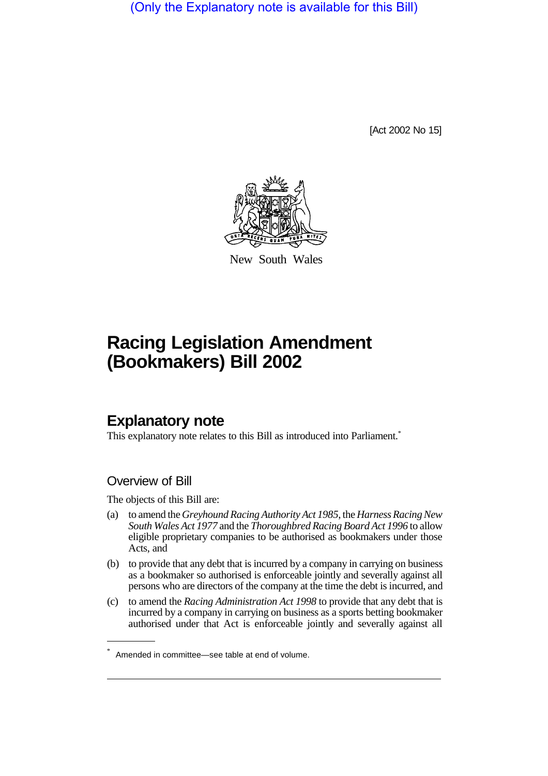(Only the Explanatory note is available for this Bill)

[Act 2002 No 15]



New South Wales

# **Racing Legislation Amendment (Bookmakers) Bill 2002**

## **Explanatory note**

This explanatory note relates to this Bill as introduced into Parliament.<sup>\*</sup>

#### Overview of Bill

The objects of this Bill are:

- (a) to amend the *Greyhound Racing Authority Act 1985*, the*Harness Racing New South Wales Act 1977* and the *Thoroughbred Racing Board Act 1996* to allow eligible proprietary companies to be authorised as bookmakers under those Acts, and
- (b) to provide that any debt that is incurred by a company in carrying on business as a bookmaker so authorised is enforceable jointly and severally against all persons who are directors of the company at the time the debt is incurred, and
- (c) to amend the *Racing Administration Act 1998* to provide that any debt that is incurred by a company in carrying on business as a sports betting bookmaker authorised under that Act is enforceable jointly and severally against all

Amended in committee—see table at end of volume.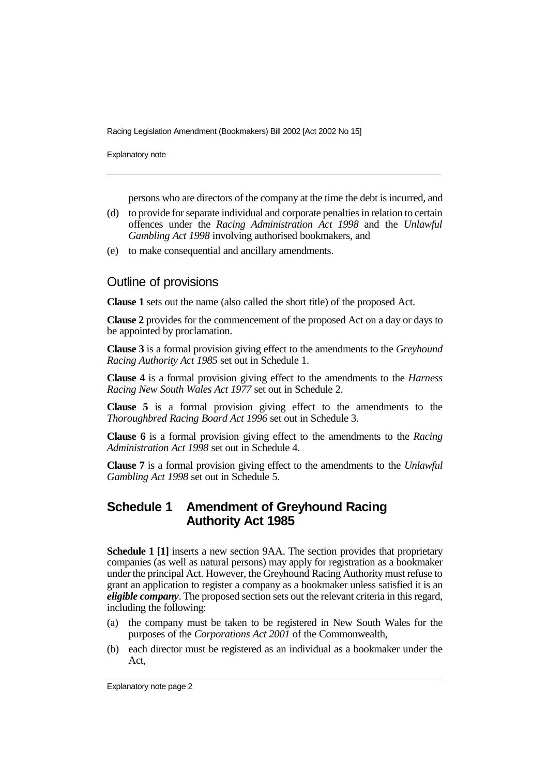Explanatory note

persons who are directors of the company at the time the debt is incurred, and

- (d) to provide for separate individual and corporate penalties in relation to certain offences under the *Racing Administration Act 1998* and the *Unlawful Gambling Act 1998* involving authorised bookmakers, and
- (e) to make consequential and ancillary amendments.

#### Outline of provisions

**Clause 1** sets out the name (also called the short title) of the proposed Act.

**Clause 2** provides for the commencement of the proposed Act on a day or days to be appointed by proclamation.

**Clause 3** is a formal provision giving effect to the amendments to the *Greyhound Racing Authority Act 1985* set out in Schedule 1.

**Clause 4** is a formal provision giving effect to the amendments to the *Harness Racing New South Wales Act 1977* set out in Schedule 2.

**Clause 5** is a formal provision giving effect to the amendments to the *Thoroughbred Racing Board Act 1996* set out in Schedule 3.

**Clause 6** is a formal provision giving effect to the amendments to the *Racing Administration Act 1998* set out in Schedule 4.

**Clause 7** is a formal provision giving effect to the amendments to the *Unlawful Gambling Act 1998* set out in Schedule 5.

#### **Schedule 1 Amendment of Greyhound Racing Authority Act 1985**

**Schedule 1 [1]** inserts a new section 9AA. The section provides that proprietary companies (as well as natural persons) may apply for registration as a bookmaker under the principal Act. However, the Greyhound Racing Authority must refuse to grant an application to register a company as a bookmaker unless satisfied it is an *eligible company*. The proposed section sets out the relevant criteria in this regard, including the following:

- (a) the company must be taken to be registered in New South Wales for the purposes of the *Corporations Act 2001* of the Commonwealth,
- (b) each director must be registered as an individual as a bookmaker under the Act,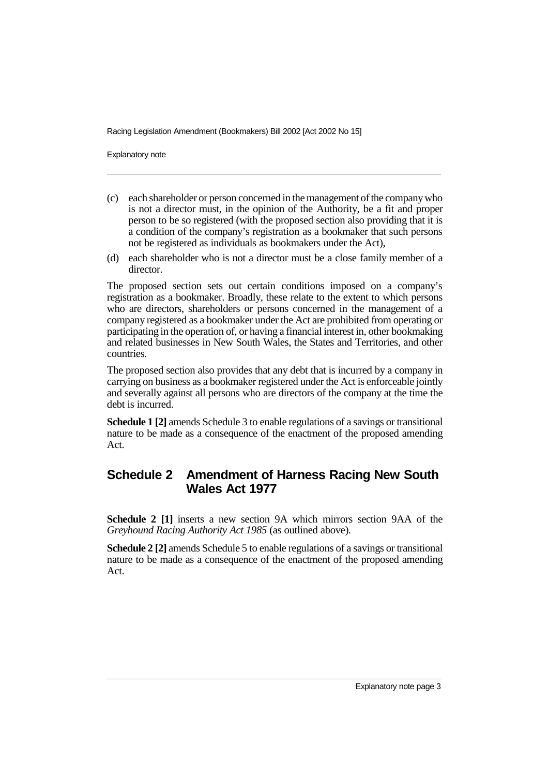Explanatory note

- (c) each shareholder or person concerned in the management of the companywho is not a director must, in the opinion of the Authority, be a fit and proper person to be so registered (with the proposed section also providing that it is a condition of the company's registration as a bookmaker that such persons not be registered as individuals as bookmakers under the Act),
- (d) each shareholder who is not a director must be a close family member of a director.

The proposed section sets out certain conditions imposed on a company's registration as a bookmaker. Broadly, these relate to the extent to which persons who are directors, shareholders or persons concerned in the management of a company registered as a bookmaker under the Act are prohibited from operating or participating in the operation of, or having a financial interest in, other bookmaking and related businesses in New South Wales, the States and Territories, and other countries.

The proposed section also provides that any debt that is incurred by a company in carrying on business as a bookmaker registered under the Act is enforceable jointly and severally against all persons who are directors of the company at the time the debt is incurred.

**Schedule 1 [2]** amends Schedule 3 to enable regulations of a savings or transitional nature to be made as a consequence of the enactment of the proposed amending Act.

### **Schedule 2 Amendment of Harness Racing New South Wales Act 1977**

**Schedule 2 [1]** inserts a new section 9A which mirrors section 9AA of the *Greyhound Racing Authority Act 1985* (as outlined above).

**Schedule 2 [2]** amends Schedule 5 to enable regulations of a savings or transitional nature to be made as a consequence of the enactment of the proposed amending Act.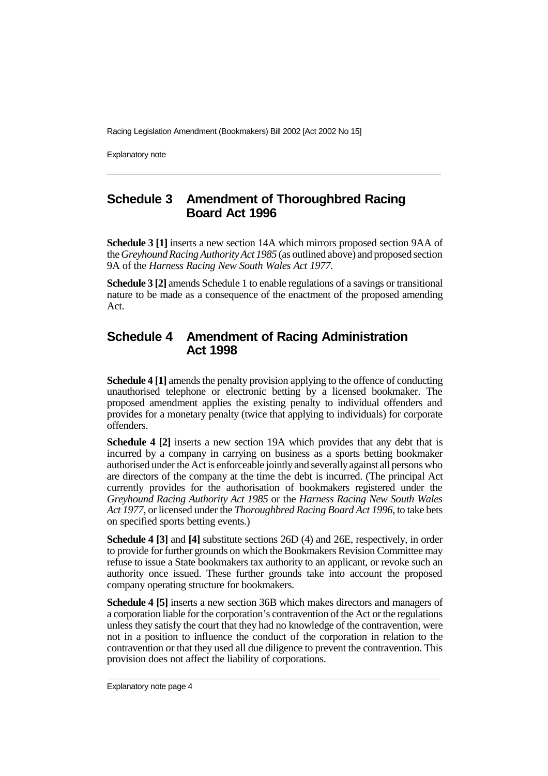Explanatory note

### **Schedule 3 Amendment of Thoroughbred Racing Board Act 1996**

**Schedule 3 [1]** inserts a new section 14A which mirrors proposed section 9AA of the*Greyhound Racing Authority Act 1985* (as outlined above) and proposed section 9A of the *Harness Racing New South Wales Act 1977*.

**Schedule 3 [2]** amends Schedule 1 to enable regulations of a savings or transitional nature to be made as a consequence of the enactment of the proposed amending Act.

### **Schedule 4 Amendment of Racing Administration Act 1998**

**Schedule 4 [1]** amends the penalty provision applying to the offence of conducting unauthorised telephone or electronic betting by a licensed bookmaker. The proposed amendment applies the existing penalty to individual offenders and provides for a monetary penalty (twice that applying to individuals) for corporate offenders.

**Schedule 4 [2]** inserts a new section 19A which provides that any debt that is incurred by a company in carrying on business as a sports betting bookmaker authorised under the Act is enforceable jointly and severallyagainst all persons who are directors of the company at the time the debt is incurred. (The principal Act currently provides for the authorisation of bookmakers registered under the *Greyhound Racing Authority Act 1985* or the *Harness Racing New South Wales Act 1977*, or licensed under the *Thoroughbred Racing Board Act 1996*, to take bets on specified sports betting events.)

**Schedule 4 [3]** and **[4]** substitute sections 26D (4) and 26E, respectively, in order to provide for further grounds on which the Bookmakers Revision Committee may refuse to issue a State bookmakers tax authority to an applicant, or revoke such an authority once issued. These further grounds take into account the proposed company operating structure for bookmakers.

**Schedule 4 [5]** inserts a new section 36B which makes directors and managers of a corporation liable for the corporation's contravention of the Act or the regulations unless they satisfy the court that they had no knowledge of the contravention, were not in a position to influence the conduct of the corporation in relation to the contravention or that they used all due diligence to prevent the contravention. This provision does not affect the liability of corporations.

Explanatory note page 4